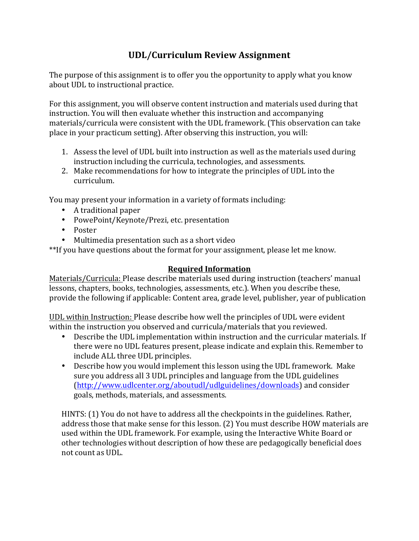## **UDL/Curriculum Review Assignment**

The purpose of this assignment is to offer you the opportunity to apply what you know about UDL to instructional practice.

For this assignment, you will observe content instruction and materials used during that instruction. You will then evaluate whether this instruction and accompanying materials/curricula were consistent with the UDL framework. (This observation can take place in your practicum setting). After observing this instruction, you will:

- 1. Assess the level of UDL built into instruction as well as the materials used during instruction including the curricula, technologies, and assessments.
- 2. Make recommendations for how to integrate the principles of UDL into the curriculum.

You may present your information in a variety of formats including:

- A traditional paper
- PowePoint/Keynote/Prezi, etc. presentation
- Poster
- Multimedia presentation such as a short video

\*\*If you have questions about the format for your assignment, please let me know.

## **Required Information**

Materials/Curricula: Please describe materials used during instruction (teachers' manual lessons, chapters, books, technologies, assessments, etc.). When you describe these, provide the following if applicable: Content area, grade level, publisher, year of publication

UDL within Instruction: Please describe how well the principles of UDL were evident within the instruction you observed and curricula/materials that you reviewed.

- Describe the UDL implementation within instruction and the curricular materials. If there were no UDL features present, please indicate and explain this. Remember to include ALL three UDL principles.
- Describe how you would implement this lesson using the UDL framework. Make sure you address all 3 UDL principles and language from the UDL guidelines (http://www.udlcenter.org/aboutudl/udlguidelines/downloads) and consider goals, methods, materials, and assessments.

HINTS: (1) You do not have to address all the checkpoints in the guidelines. Rather, address those that make sense for this lesson. (2) You must describe HOW materials are used within the UDL framework. For example, using the Interactive White Board or other technologies without description of how these are pedagogically beneficial does not count as UDL.